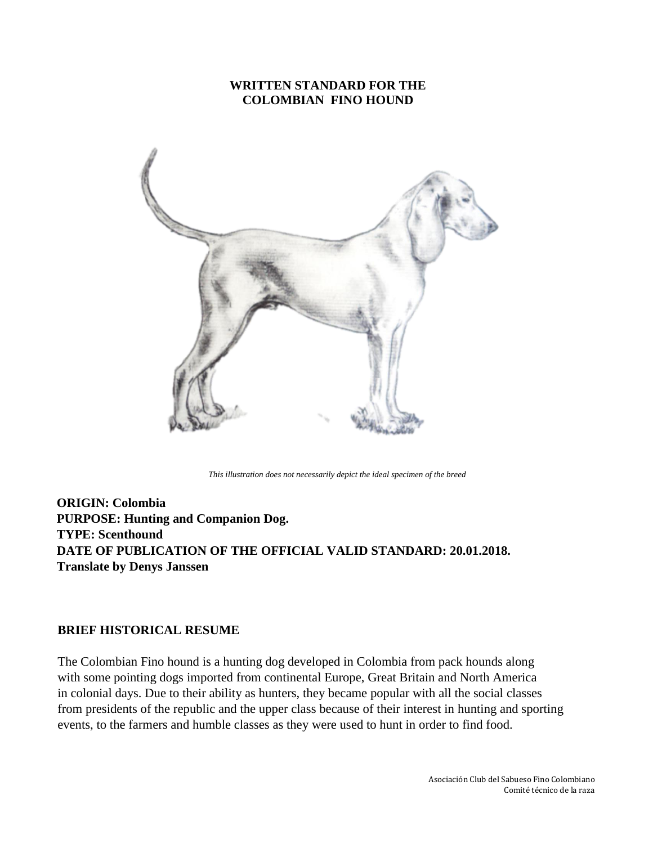## **WRITTEN STANDARD FOR THE COLOMBIAN FINO HOUND**



*This illustration does not necessarily depict the ideal specimen of the breed*

**ORIGIN: Colombia PURPOSE: Hunting and Companion Dog. TYPE: Scenthound DATE OF PUBLICATION OF THE OFFICIAL VALID STANDARD: 20.01.2018. Translate by Denys Janssen**

#### **BRIEF HISTORICAL RESUME**

The Colombian Fino hound is a hunting dog developed in Colombia from pack hounds along with some pointing dogs imported from continental Europe, Great Britain and North America in colonial days. Due to their ability as hunters, they became popular with all the social classes from presidents of the republic and the upper class because of their interest in hunting and sporting events, to the farmers and humble classes as they were used to hunt in order to find food.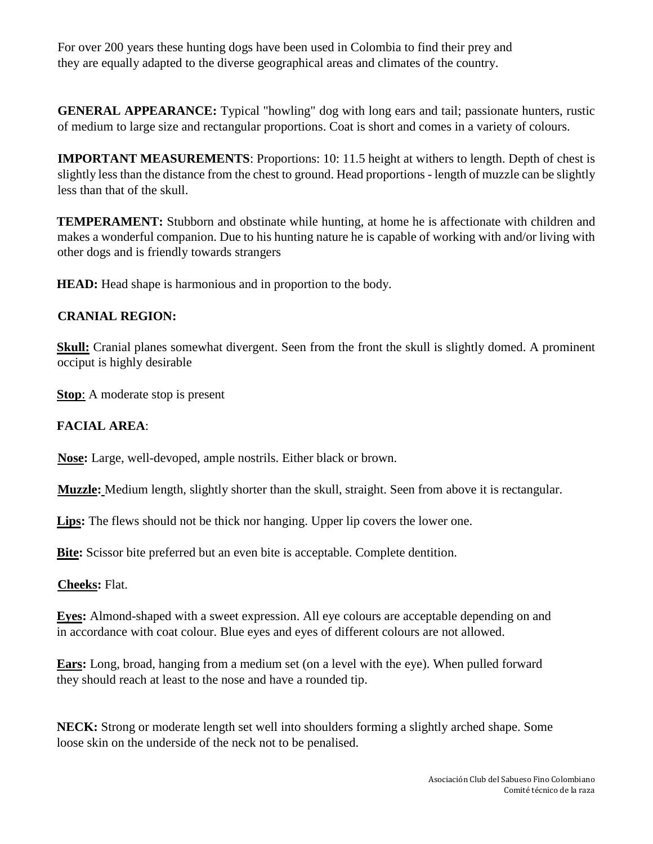For over 200 years these hunting dogs have been used in Colombia to find their prey and they are equally adapted to the diverse geographical areas and climates of the country.

**GENERAL APPEARANCE:** Typical "howling" dog with long ears and tail; passionate hunters, rustic of medium to large size and rectangular proportions. Coat is short and comes in a variety of colours.

**IMPORTANT MEASUREMENTS:** Proportions: 10: 11.5 height at withers to length. Depth of chest is slightly less than the distance from the chest to ground. Head proportions - length of muzzle can be slightly less than that of the skull.

**TEMPERAMENT:** Stubborn and obstinate while hunting, at home he is affectionate with children and makes a wonderful companion. Due to his hunting nature he is capable of working with and/or living with other dogs and is friendly towards strangers

**HEAD:** Head shape is harmonious and in proportion to the body.

# **CRANIAL REGION:**

**Skull:** Cranial planes somewhat divergent. Seen from the front the skull is slightly domed. A prominent occiput is highly desirable

**Stop**: A moderate stop is present

# **FACIAL AREA**:

**Nose:** Large, well-devoped, ample nostrils. Either black or brown.

**Muzzle:** Medium length, slightly shorter than the skull, straight. Seen from above it is rectangular.

Lips: The flews should not be thick nor hanging. Upper lip covers the lower one.

**Bite:** Scissor bite preferred but an even bite is acceptable. Complete dentition.

**Cheeks:** Flat.

**Eyes:** Almond-shaped with a sweet expression. All eye colours are acceptable depending on and in accordance with coat colour. Blue eyes and eyes of different colours are not allowed.

**Ears:** Long, broad, hanging from a medium set (on a level with the eye). When pulled forward they should reach at least to the nose and have a rounded tip.

**NECK:** Strong or moderate length set well into shoulders forming a slightly arched shape. Some loose skin on the underside of the neck not to be penalised.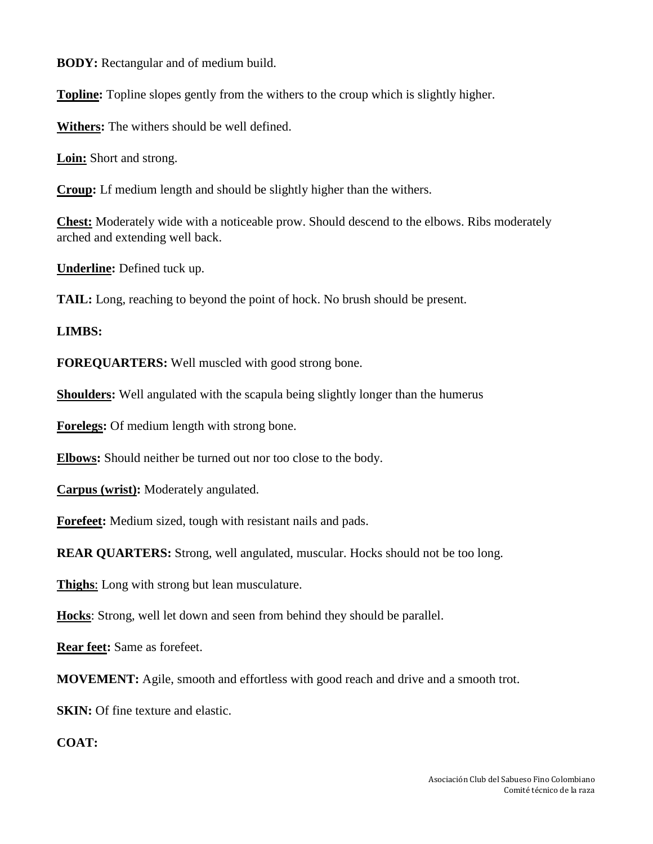**BODY:** Rectangular and of medium build.

**Topline:** Topline slopes gently from the withers to the croup which is slightly higher.

**Withers:** The withers should be well defined.

**Loin:** Short and strong.

**Croup:** Lf medium length and should be slightly higher than the withers.

**Chest:** Moderately wide with a noticeable prow. Should descend to the elbows. Ribs moderately arched and extending well back.

**Underline:** Defined tuck up.

**TAIL:** Long, reaching to beyond the point of hock. No brush should be present.

### **LIMBS:**

**FOREQUARTERS:** Well muscled with good strong bone.

**Shoulders:** Well angulated with the scapula being slightly longer than the humerus

**Forelegs:** Of medium length with strong bone.

**Elbows:** Should neither be turned out nor too close to the body.

**Carpus (wrist):** Moderately angulated.

**Forefeet:** Medium sized, tough with resistant nails and pads.

**REAR QUARTERS:** Strong, well angulated, muscular. Hocks should not be too long.

**Thighs**: Long with strong but lean musculature.

**Hocks**: Strong, well let down and seen from behind they should be parallel.

**Rear feet:** Same as forefeet.

**MOVEMENT:** Agile, smooth and effortless with good reach and drive and a smooth trot.

**SKIN:** Of fine texture and elastic.

**COAT:**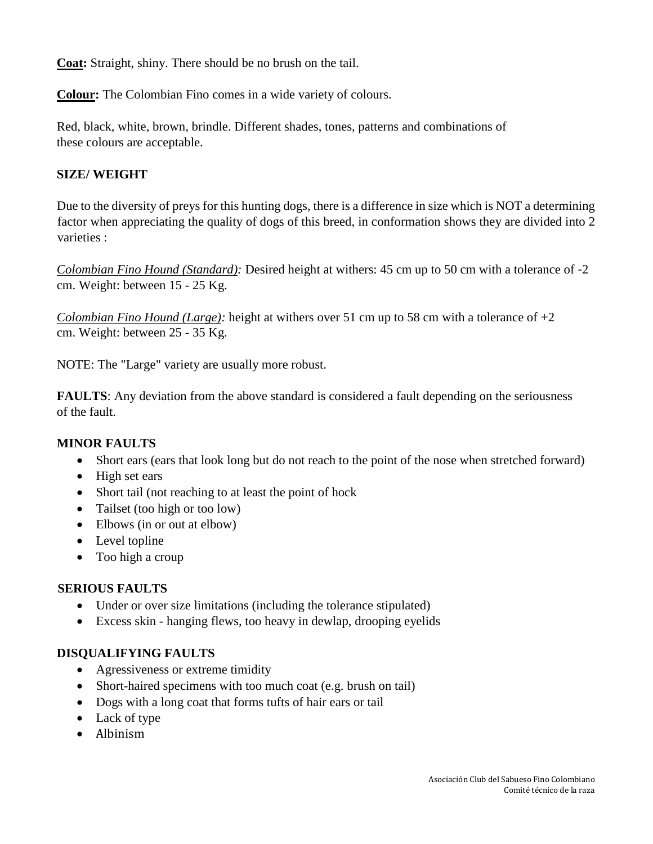**Coat:** Straight, shiny. There should be no brush on the tail.

**Colour:** The Colombian Fino comes in a wide variety of colours.

Red, black, white, brown, brindle. Different shades, tones, patterns and combinations of these colours are acceptable.

## **SIZE/ WEIGHT**

Due to the diversity of preys for this hunting dogs, there is a difference in size which is NOT a determining factor when appreciating the quality of dogs of this breed, in conformation shows they are divided into 2 varieties :

*Colombian Fino Hound (Standard):* Desired height at withers: 45 cm up to 50 cm with a tolerance of -2 cm. Weight: between 15 - 25 Kg.

*Colombian Fino Hound (Large):* height at withers over 51 cm up to 58 cm with a tolerance of +2 cm. Weight: between 25 - 35 Kg.

NOTE: The "Large" variety are usually more robust.

**FAULTS:** Any deviation from the above standard is considered a fault depending on the seriousness of the fault.

### **MINOR FAULTS**

- Short ears (ears that look long but do not reach to the point of the nose when stretched forward)
- High set ears
- Short tail (not reaching to at least the point of hock
- Tailset (too high or too low)
- Elbows (in or out at elbow)
- Level topline
- Too high a croup

### **SERIOUS FAULTS**

- Under or over size limitations (including the tolerance stipulated)
- Excess skin hanging flews, too heavy in dewlap, drooping eyelids

### **DISQUALIFYING FAULTS**

- Agressiveness or extreme timidity
- Short-haired specimens with too much coat (e.g. brush on tail)
- Dogs with a long coat that forms tufts of hair ears or tail
- Lack of type
- Albinism